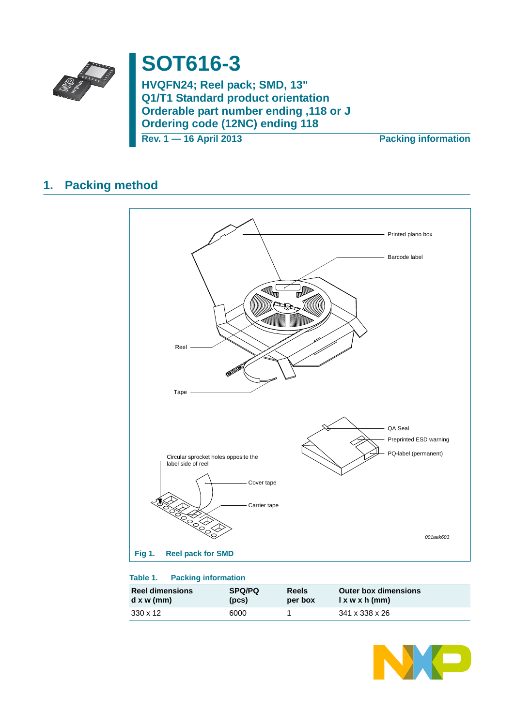

# **SOT616-3**

**HVQFN24; Reel pack; SMD, 13" Q1/T1 Standard product orientation Orderable part number ending ,118 or J Ordering code (12NC) ending 118**

**Rev. 1 — 16 April 2013 Packing information**

### **1. Packing method**



### **Table 1. Packing information**

| <b>Reel dimensions</b> | <b>SPQ/PQ</b> | <b>Reels</b> | <b>Outer box dimensions</b> |
|------------------------|---------------|--------------|-----------------------------|
| $d \times w$ (mm)      | (pcs)         | per box      | l x w x h (mm)              |
| 330 x 12               | 6000          |              | 341 x 338 x 26              |

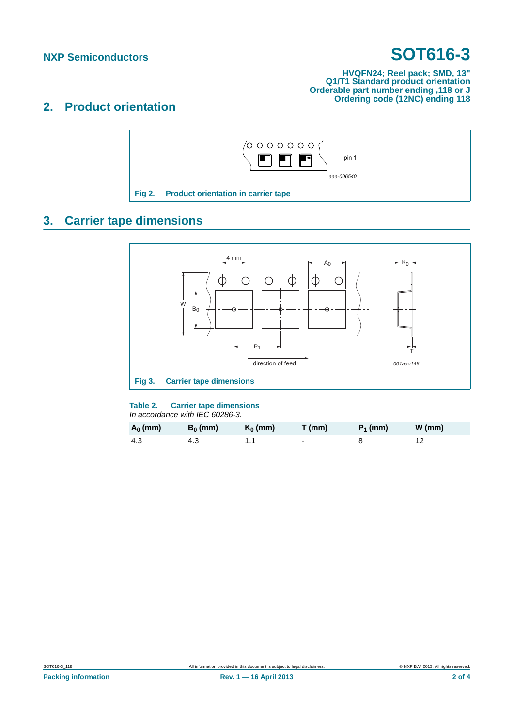## **NXP Semiconductors SOT616-3**

### **HVQFN24; Reel pack; SMD, 13" Q1/T1 Standard product orientation Orderable part number ending ,118 or J Ordering code (12NC) ending 118**

### **2. Product orientation**



## **3. Carrier tape dimensions**



### **Table 2. Carrier tape dimensions**

*In accordance with IEC 60286-3.*

| $A_0$ (mm) | $B_0$ (mm) | $K_0$ (mm) | $T$ (mm) | $P_1$ (mm) | $W$ (mm) |
|------------|------------|------------|----------|------------|----------|
| -4.3       | 4.3        |            | $\sim$   |            |          |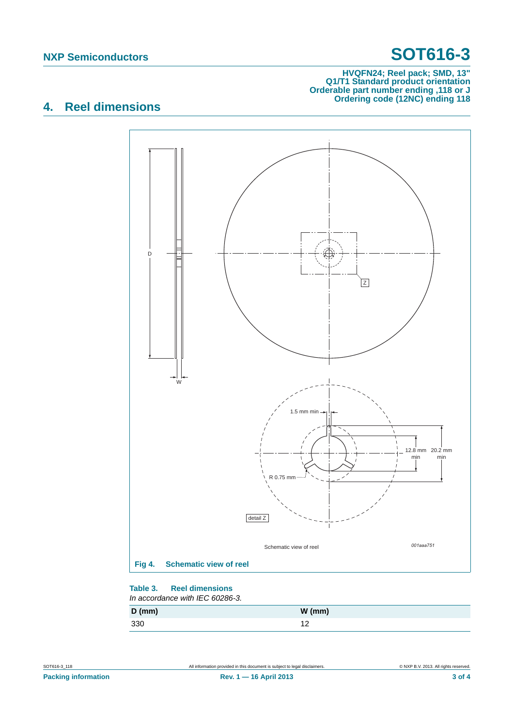## **NXP Semiconductors SOT616-3**

#### **HVQFN24; Reel pack; SMD, 13" Q1/T1 Standard product orientation Orderable part number ending ,118 or J Ordering code (12NC) ending 118**

### **4. Reel dimensions**



#### **Table 3. Reel dimensions** *In accordance with IEC 60286-3.*

| $D$ (mm) | $W$ (mm)       |
|----------|----------------|
| 330      | $\overline{a}$ |